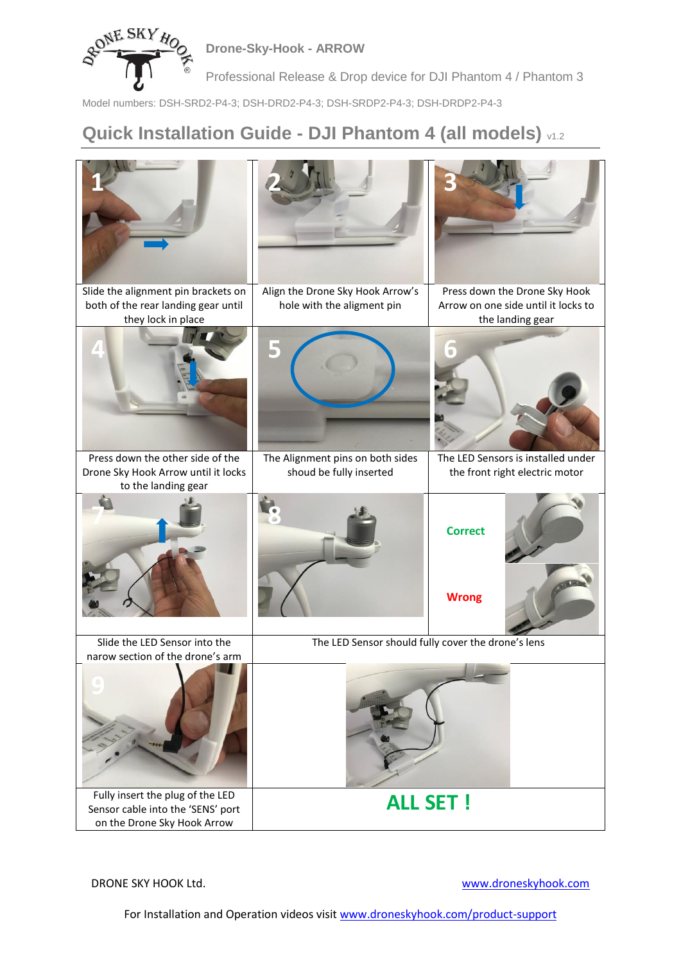

**Drone-Sky-Hook - ARROW**

Professional Release & Drop device for DJI Phantom 4 / Phantom 3

Model numbers: DSH-SRD2-P4-3; DSH-DRD2-P4-3; DSH-SRDP2-P4-3; DSH-DRDP2-P4-3

## **Quick Installation Guide - DJI Phantom 4 (all models)** v1.2



DRONE SKY HOOK Ltd. [www.droneskyhook.com](http://www.droneskyhook.com/)